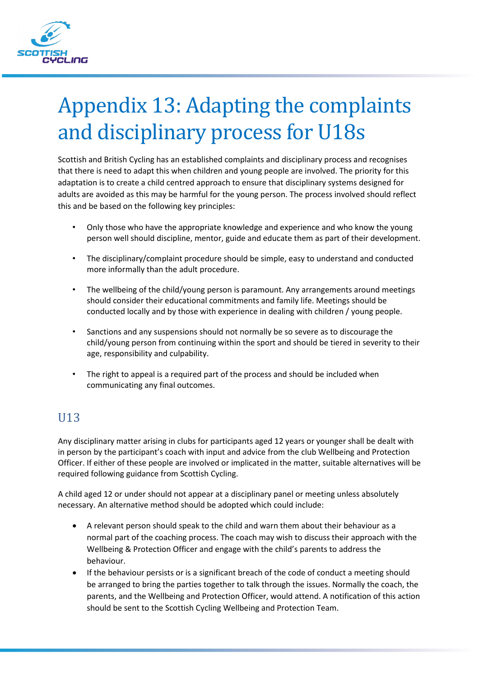

# Appendix 13: Adapting the complaints and disciplinary process for U18s

Scottish and British Cycling has an established complaints and disciplinary process and recognises that there is need to adapt this when children and young people are involved. The priority for this adaptation is to create a child centred approach to ensure that disciplinary systems designed for adults are avoided as this may be harmful for the young person. The process involved should reflect this and be based on the following key principles:

- Only those who have the appropriate knowledge and experience and who know the young person well should discipline, mentor, guide and educate them as part of their development.
- The disciplinary/complaint procedure should be simple, easy to understand and conducted more informally than the adult procedure.
- The wellbeing of the child/young person is paramount. Any arrangements around meetings should consider their educational commitments and family life. Meetings should be conducted locally and by those with experience in dealing with children / young people.
- Sanctions and any suspensions should not normally be so severe as to discourage the child/young person from continuing within the sport and should be tiered in severity to their age, responsibility and culpability.
- The right to appeal is a required part of the process and should be included when communicating any final outcomes.

#### U13

Any disciplinary matter arising in clubs for participants aged 12 years or younger shall be dealt with in person by the participant's coach with input and advice from the club Wellbeing and Protection Officer. If either of these people are involved or implicated in the matter, suitable alternatives will be required following guidance from Scottish Cycling.

A child aged 12 or under should not appear at a disciplinary panel or meeting unless absolutely necessary. An alternative method should be adopted which could include:

- A relevant person should speak to the child and warn them about their behaviour as a normal part of the coaching process. The coach may wish to discuss their approach with the Wellbeing & Protection Officer and engage with the child's parents to address the behaviour.
- If the behaviour persists or is a significant breach of the code of conduct a meeting should be arranged to bring the parties together to talk through the issues. Normally the coach, the parents, and the Wellbeing and Protection Officer, would attend. A notification of this action should be sent to the Scottish Cycling Wellbeing and Protection Team.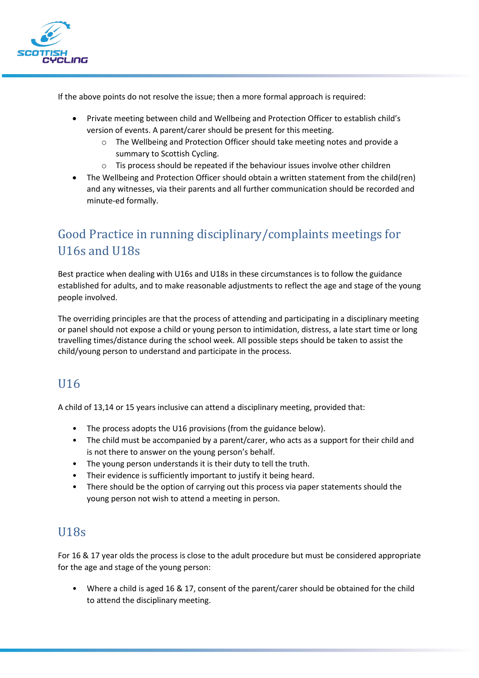

If the above points do not resolve the issue; then a more formal approach is required:

- Private meeting between child and Wellbeing and Protection Officer to establish child's version of events. A parent/carer should be present for this meeting.
	- o The Wellbeing and Protection Officer should take meeting notes and provide a summary to Scottish Cycling.
	- o Tis process should be repeated if the behaviour issues involve other children
- The Wellbeing and Protection Officer should obtain a written statement from the child(ren) and any witnesses, via their parents and all further communication should be recorded and minute-ed formally.

# Good Practice in running disciplinary/complaints meetings for U16s and U18s

Best practice when dealing with U16s and U18s in these circumstances is to follow the guidance established for adults, and to make reasonable adjustments to reflect the age and stage of the young people involved.

The overriding principles are that the process of attending and participating in a disciplinary meeting or panel should not expose a child or young person to intimidation, distress, a late start time or long travelling times/distance during the school week. All possible steps should be taken to assist the child/young person to understand and participate in the process.

# U16

A child of 13,14 or 15 years inclusive can attend a disciplinary meeting, provided that:

- The process adopts the U16 provisions (from the guidance below).
- The child must be accompanied by a parent/carer, who acts as a support for their child and is not there to answer on the young person's behalf.
- The young person understands it is their duty to tell the truth.
- Their evidence is sufficiently important to justify it being heard.
- There should be the option of carrying out this process via paper statements should the young person not wish to attend a meeting in person.

#### U18s

For 16 & 17 year olds the process is close to the adult procedure but must be considered appropriate for the age and stage of the young person:

• Where a child is aged 16 & 17, consent of the parent/carer should be obtained for the child to attend the disciplinary meeting.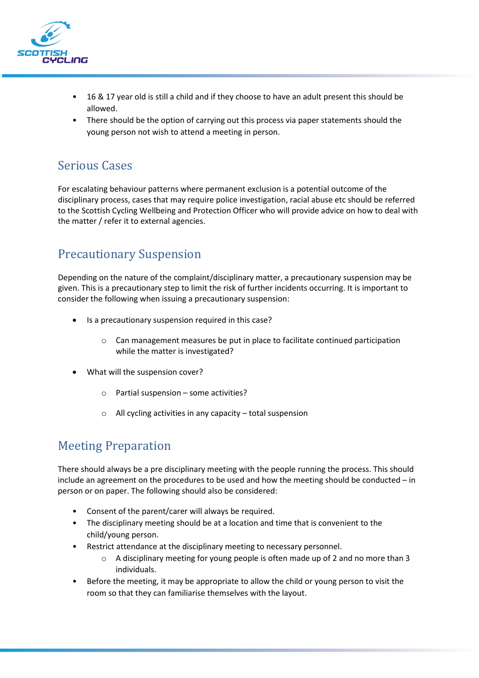

- 16 & 17 year old is still a child and if they choose to have an adult present this should be allowed.
- There should be the option of carrying out this process via paper statements should the young person not wish to attend a meeting in person.

### Serious Cases

For escalating behaviour patterns where permanent exclusion is a potential outcome of the disciplinary process, cases that may require police investigation, racial abuse etc should be referred to the Scottish Cycling Wellbeing and Protection Officer who will provide advice on how to deal with the matter / refer it to external agencies.

# Precautionary Suspension

Depending on the nature of the complaint/disciplinary matter, a precautionary suspension may be given. This is a precautionary step to limit the risk of further incidents occurring. It is important to consider the following when issuing a precautionary suspension:

- Is a precautionary suspension required in this case?
	- $\circ$  Can management measures be put in place to facilitate continued participation while the matter is investigated?
- What will the suspension cover?
	- $\circ$  Partial suspension some activities?
	- o All cycling activities in any capacity total suspension

# Meeting Preparation

There should always be a pre disciplinary meeting with the people running the process. This should include an agreement on the procedures to be used and how the meeting should be conducted – in person or on paper. The following should also be considered:

- Consent of the parent/carer will always be required.
- The disciplinary meeting should be at a location and time that is convenient to the child/young person.
- Restrict attendance at the disciplinary meeting to necessary personnel.
	- $\circ$  A disciplinary meeting for young people is often made up of 2 and no more than 3 individuals.
- Before the meeting, it may be appropriate to allow the child or young person to visit the room so that they can familiarise themselves with the layout.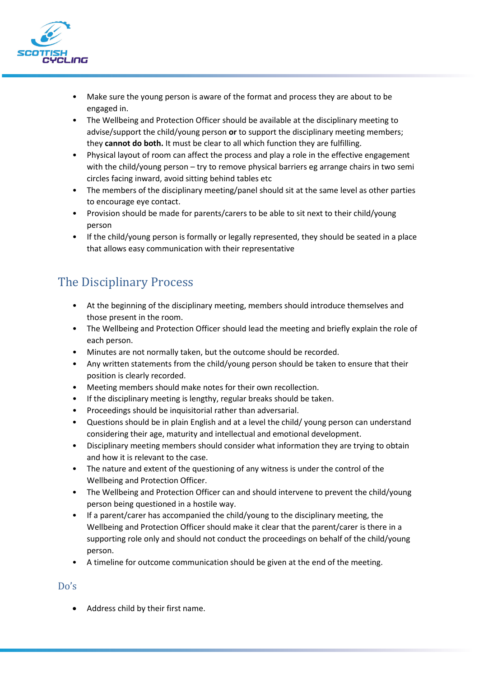

- Make sure the young person is aware of the format and process they are about to be engaged in.
- The Wellbeing and Protection Officer should be available at the disciplinary meeting to advise/support the child/young person **or** to support the disciplinary meeting members; they **cannot do both.** It must be clear to all which function they are fulfilling.
- Physical layout of room can affect the process and play a role in the effective engagement with the child/young person – try to remove physical barriers eg arrange chairs in two semi circles facing inward, avoid sitting behind tables etc
- The members of the disciplinary meeting/panel should sit at the same level as other parties to encourage eye contact.
- Provision should be made for parents/carers to be able to sit next to their child/young person
- If the child/young person is formally or legally represented, they should be seated in a place that allows easy communication with their representative

# The Disciplinary Process

- At the beginning of the disciplinary meeting, members should introduce themselves and those present in the room.
- The Wellbeing and Protection Officer should lead the meeting and briefly explain the role of each person.
- Minutes are not normally taken, but the outcome should be recorded.
- Any written statements from the child/young person should be taken to ensure that their position is clearly recorded.
- Meeting members should make notes for their own recollection.
- If the disciplinary meeting is lengthy, regular breaks should be taken.
- Proceedings should be inquisitorial rather than adversarial.
- Questions should be in plain English and at a level the child/ young person can understand considering their age, maturity and intellectual and emotional development.
- Disciplinary meeting members should consider what information they are trying to obtain and how it is relevant to the case.
- The nature and extent of the questioning of any witness is under the control of the Wellbeing and Protection Officer.
- The Wellbeing and Protection Officer can and should intervene to prevent the child/young person being questioned in a hostile way.
- If a parent/carer has accompanied the child/young to the disciplinary meeting, the Wellbeing and Protection Officer should make it clear that the parent/carer is there in a supporting role only and should not conduct the proceedings on behalf of the child/young person.
- A timeline for outcome communication should be given at the end of the meeting.

#### Do's

• Address child by their first name.